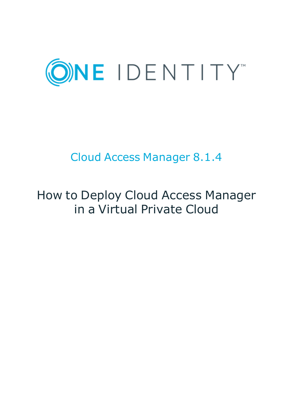

# Cloud Access Manager 8.1.4

# How to Deploy Cloud Access Manager in a Virtual Private Cloud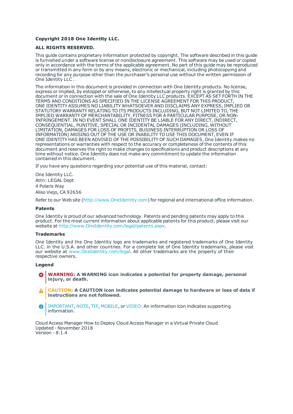#### **Copyright 2018 One Identity LLC.**

#### **ALL RIGHTS RESERVED.**

This guide contains proprietary information protected by copyright. The software described in this guide is furnished under a software license or nondisclosure agreement. This software may be used or copied only in accordance with the terms of the applicable agreement. No part of this guide may be reproduced or transmitted in any form or by any means, electronic or mechanical, including photocopying and recording for any purpose other than the purchaser's personal use without the written permission of One Identity LLC .

The information in this document is provided in connection with One Identity products. No license, express or implied, by estoppel or otherwise, to any intellectual property right is granted by this document or in connection with the sale of One Identity LLC products. EXCEPT AS SET FORTH IN THE TERMS AND CONDITIONS AS SPECIFIED IN THE LICENSE AGREEMENT FOR THIS PRODUCT, ONE IDENTITY ASSUMES NO LIABILITY WHATSOEVER AND DISCLAIMS ANY EXPRESS, IMPLIED OR STATUTORY WARRANTY RELATING TO ITS PRODUCTS INCLUDING, BUT NOT LIMITED TO, THE IMPLIED WARRANTY OF MERCHANTABILITY, FITNESS FOR A PARTICULAR PURPOSE, OR NON-INFRINGEMENT. IN NO EVENT SHALL ONE IDENTITY BE LIABLE FOR ANY DIRECT, INDIRECT, CONSEQUENTIAL, PUNITIVE, SPECIAL OR INCIDENTAL DAMAGES (INCLUDING, WITHOUT LIMITATION, DAMAGES FOR LOSS OF PROFITS, BUSINESS INTERRUPTION OR LOSS OF INFORMATION) ARISING OUT OF THE USE OR INABILITY TO USE THIS DOCUMENT, EVEN IF ONE IDENTITY HAS BEEN ADVISED OF THE POSSIBILITY OF SUCH DAMAGES. One Identity makes no representations or warranties with respect to the accuracy or completeness of the contents of this document and reserves the right to make changes to specifications and product descriptions at any time without notice. One Identity does not make any commitment to update the information contained in this document.

If you have any questions regarding your potential use of this material, contact:

One Identity LLC. Attn: LEGAL Dept 4 Polaris Way Aliso Viejo, CA 92656

Refer to our Web site ([http://www.OneIdentity.com](http://www.oneidentity.com/)) for regional and international office information.

#### **Patents**

One Identity is proud of our advanced technology. Patents and pending patents may apply to this product. For the most current information about applicable patents for this product, please visit our website at [http://www.OneIdentity.com/legal/patents.aspx](http://www.oneidentity.com/legal/patents.aspx).

#### **Trademarks**

One Identity and the One Identity logo are trademarks and registered trademarks of One Identity LLC. in the U.S.A. and other countries. For a complete list of One Identity trademarks, please visit our website at [www.OneIdentity.com/legal](http://www.oneidentity.com/legal). All other trademarks are the property of their respective owners.

#### **Legend**

- **WARNING: A WARNING icon indicates a potential for property damage, personal injury, or death.**
- **CAUTION: A CAUTION icon indicates potential damage to hardware or loss of data if instructions are not followed.**
- IMPORTANT, NOTE, TIP, MOBILE, or VIDEO: An information icon indicates supporting Œ information.

Cloud Access Manager How to Deploy Cloud Access Manager in a Virtual Private Cloud Updated - November 2018 Version - 8.1.4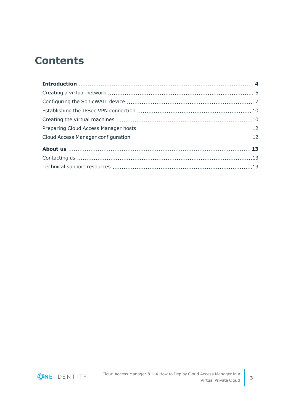## **Contents**

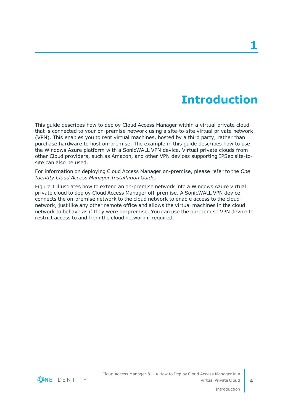# **Introduction**

<span id="page-3-0"></span>This guide describes how to deploy Cloud Access Manager within a virtual private cloud that is connected to your on-premise network using a site-to-site virtual private network (VPN). This enables you to rent virtual machines, hosted by a third party, rather than purchase hardware to host on-premise. The example in this guide describes how to use the Windows Azure platform with a SonicWALL VPN device. Virtual private clouds from other Cloud providers, such as Amazon, and other VPN devices supporting IPSec site-tosite can also be used.

For information on deploying Cloud Access Manager on-premise, please refer to the *One Identity Cloud Access Manager Installation Guide*.

Figure 1 illustrates how to extend an on-premise network into a Windows Azure virtual private cloud to deploy Cloud Access Manager off-premise. A SonicWALL VPN device connects the on-premise network to the cloud network to enable access to the cloud network, just like any other remote office and allows the virtual machines in the cloud network to behave as if they were on-premise. You can use the on-premise VPN device to restrict access to and from the cloud network if required.

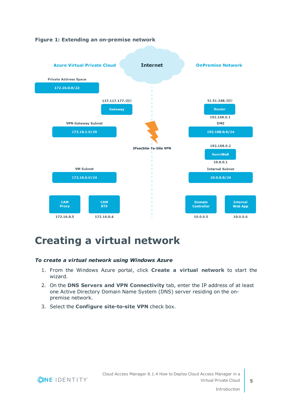

### **Figure 1: Extending an on-premise network**

### <span id="page-4-0"></span>**Creating a virtual network**

#### *To create a virtual network using Windows Azure*

- 1. From the Windows Azure portal, click **Create a virtual network** to start the wizard.
- 2. On the **DNS Servers and VPN Connectivity** tab, enter the IP address of at least one Active Directory Domain Name System (DNS) server residing on the onpremise network.
- 3. Select the **Configure site-to-site VPN** check box.

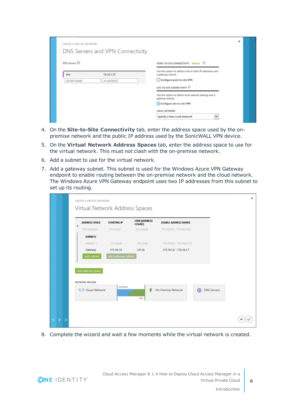| CREATE A VIRTUAL NETWORK | DNS Servers and VPN Connectivity |                                                                                  | × |  |
|--------------------------|----------------------------------|----------------------------------------------------------------------------------|---|--|
| DNS Servers              |                                  | POINT-TO-SITE CONNECTIVITY PRIVATH C                                             |   |  |
| dns                      | 10, 10, 1, 10                    | Use this option to define a list of client IP addresses and<br>a gateway subnet. |   |  |
| <b>ENTER NAME</b>        | IP ADDRESS                       | Configure point-to-site VPN                                                      |   |  |
|                          |                                  | SITE-TO-SITE CONNECTIVITY                                                        |   |  |
|                          |                                  | Use this option to define local network settings and a<br>gateway subnet.        |   |  |
|                          |                                  | Configure site-to-site VPN                                                       |   |  |
|                          |                                  | LOCAL NETWORK                                                                    |   |  |
|                          |                                  | $\checkmark$<br>Specify a New Local Network                                      |   |  |

- 4. On the **Site-to-Site Connectivity** tab, enter the address space used by the onpremise network and the public IP address used by the SonicWALL VPN device.
- 5. On the **Virtual Network Address Spaces** tab, enter the address space to use for the virtual network. This must not clash with the on-premise network.
- 6. Add a subnet to use for the virtual network.
- 7. Add a gateway subnet. This subnet is used for the Windows Azure VPN Gateway endpoint to enable routing between the on-premise network and the cloud network. The Windows Azure VPN Gateway endpoint uses two IP addresses from this subnet to set up its routing.

| Virtual Network Address Spaces<br>CIDR (ADDRESS<br>ADDRESS SPACE<br>STARTING IP<br><b>USABLE ADDRESS RANGE</b><br>COUNT)<br>172.16.0.0/22<br>172,16,0,0<br>/22(1024)<br>172.16.0.0 - 172.16.3.255<br><b>SUBNETS</b><br>Subnet-1<br>172,16.0.0<br>/25(128)<br>172.16.0.0 - 172.16.0.127<br>Gateway<br>172.16.1.0<br>/29 (B)<br>172.16.1.0 - 172.16.1.7<br>add subnet<br>add gateway subnet<br>add address space<br>NETWORK PREVIEW<br>GATEWAY<br><- > Cloud-Network<br>o<br>On-Premise-Network<br>⋒<br><b>DNS Servers</b><br>WRN | CREATE A VIRTUAL NETWORK |  |  |  |
|---------------------------------------------------------------------------------------------------------------------------------------------------------------------------------------------------------------------------------------------------------------------------------------------------------------------------------------------------------------------------------------------------------------------------------------------------------------------------------------------------------------------------------|--------------------------|--|--|--|
|                                                                                                                                                                                                                                                                                                                                                                                                                                                                                                                                 |                          |  |  |  |
|                                                                                                                                                                                                                                                                                                                                                                                                                                                                                                                                 |                          |  |  |  |
|                                                                                                                                                                                                                                                                                                                                                                                                                                                                                                                                 |                          |  |  |  |
|                                                                                                                                                                                                                                                                                                                                                                                                                                                                                                                                 |                          |  |  |  |
|                                                                                                                                                                                                                                                                                                                                                                                                                                                                                                                                 |                          |  |  |  |
|                                                                                                                                                                                                                                                                                                                                                                                                                                                                                                                                 |                          |  |  |  |
|                                                                                                                                                                                                                                                                                                                                                                                                                                                                                                                                 |                          |  |  |  |
|                                                                                                                                                                                                                                                                                                                                                                                                                                                                                                                                 |                          |  |  |  |
|                                                                                                                                                                                                                                                                                                                                                                                                                                                                                                                                 |                          |  |  |  |
|                                                                                                                                                                                                                                                                                                                                                                                                                                                                                                                                 |                          |  |  |  |
|                                                                                                                                                                                                                                                                                                                                                                                                                                                                                                                                 |                          |  |  |  |
|                                                                                                                                                                                                                                                                                                                                                                                                                                                                                                                                 |                          |  |  |  |
|                                                                                                                                                                                                                                                                                                                                                                                                                                                                                                                                 |                          |  |  |  |

8. Complete the wizard and wait a few moments while the virtual network is created.

**ONE IDENTITY**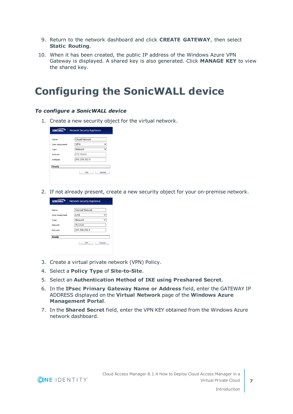- 9. Return to the network dashboard and click **CREATE GATEWAY**, then select **Static Routing**.
- 10. When it has been created, the public IP address of the Windows Azure VPN Gateway is displayed. A shared key is also generated. Click **MANAGE KEY** to view the shared key.

### <span id="page-6-0"></span>**Configuring the SonicWALL device**

#### *To configure a SonicWALL device*

1. Create a new security object for the virtual network.

| <b>SONICWALL</b> | <b>Network Security Appliance</b> |              |
|------------------|-----------------------------------|--------------|
| Name:            | Cloud-Network                     |              |
| Zone Assignment: | <b>VPN</b>                        | $\checkmark$ |
| Type:            | Network                           |              |
| Network:         | 172.16.0.0                        |              |
| Netmask:         | 255 255 252 0                     |              |
| Ready            |                                   |              |
|                  | OK                                | Cancel       |

2. If not already present, create a new security object for your on-premise network.

| Name:            | Internal Network |             |
|------------------|------------------|-------------|
| Zone Assignment: | I AN             | ◡           |
| Type:            | Network          | $\check{ }$ |
| Network:         | 10000            |             |
| Netmask:         | 255 255 255 0    |             |
| Ready            | OK               | Cancel      |

- 3. Create a virtual private network (VPN) Policy.
- 4. Select a **Policy Type** of **Site-to-Site**.
- 5. Select an **Authentication Method of IKE using Preshared Secret**.
- 6. In the **IPsec Primary Gateway Name or Address** field, enter the GATEWAY IP ADDRESS displayed on the **Virtual Network** page of the **Windows Azure Management Portal**.
- 7. In the **Shared Secret** field, enter the VPN KEY obtained from the Windows Azure network dashboard.

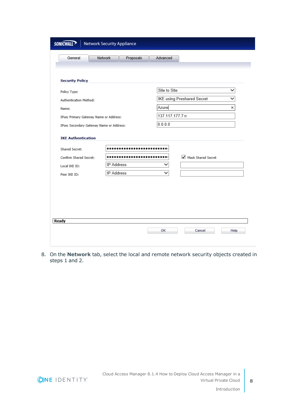| General                                                                                | Network<br>Proposals | Advanced      |                                   |             |
|----------------------------------------------------------------------------------------|----------------------|---------------|-----------------------------------|-------------|
|                                                                                        |                      |               |                                   |             |
|                                                                                        |                      |               |                                   |             |
| <b>Security Policy</b>                                                                 |                      |               |                                   |             |
|                                                                                        |                      |               |                                   |             |
| Policy Type:                                                                           |                      | Site to Site  |                                   | $\check{ }$ |
| Authentication Method:                                                                 |                      |               | <b>IKE using Preshared Secret</b> |             |
| Name:                                                                                  |                      | Azure         |                                   | ×           |
| IPsec Primary Gateway Name or Address:                                                 |                      | 137.117.177.7 |                                   |             |
| IPsec Secondary Gateway Name or Address:                                               |                      | 0.0.0.0       |                                   |             |
|                                                                                        |                      |               |                                   |             |
|                                                                                        |                      |               |                                   |             |
|                                                                                        |                      |               | Mask Shared Secret                |             |
| <b>IKE Authentication</b><br>Shared Secret:<br>Confirm Shared Secret:<br>Local IKE ID: | <b>IP Address</b>    | ▽             |                                   |             |
| Peer IKE ID:                                                                           | <b>IP Address</b>    | ✓             |                                   |             |
|                                                                                        |                      |               |                                   |             |
|                                                                                        |                      |               |                                   |             |
|                                                                                        |                      |               |                                   |             |
|                                                                                        |                      |               |                                   |             |
|                                                                                        |                      |               |                                   |             |
| Ready                                                                                  |                      |               |                                   |             |

8. On the **Network** tab, select the local and remote network security objects created in steps 1 and 2.

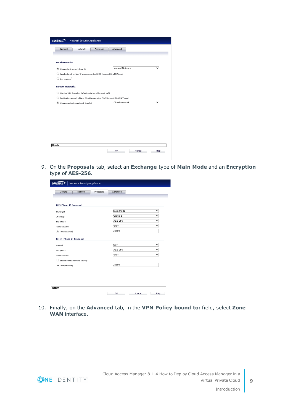| <b>Internal Network</b>                                                     |  | $\checkmark$ |
|-----------------------------------------------------------------------------|--|--------------|
|                                                                             |  |              |
|                                                                             |  |              |
|                                                                             |  |              |
|                                                                             |  |              |
|                                                                             |  |              |
| Destination network obtains IP addresses using DHCP through this VPN Tunnel |  |              |
| Cloud-Network                                                               |  | $\checkmark$ |
|                                                                             |  |              |
|                                                                             |  |              |
|                                                                             |  |              |
|                                                                             |  |              |
|                                                                             |  |              |
|                                                                             |  |              |
|                                                                             |  |              |
|                                                                             |  |              |
|                                                                             |  |              |
|                                                                             |  |              |
|                                                                             |  |              |

9. On the **Proposals** tab, select an **Exchange** type of **Main Mode** and an **Encryption** type of **AES-256**.

| General                         | Network | Proposals | Advanced       |                       |
|---------------------------------|---------|-----------|----------------|-----------------------|
|                                 |         |           |                |                       |
|                                 |         |           |                |                       |
| <b>IKE (Phase 1) Proposal</b>   |         |           |                |                       |
| Exchange:                       |         |           | Main Mode      | $\checkmark$          |
| DH Group:                       |         |           | Group 2        | $\checkmark$          |
| Encryption:                     |         |           | AES-256        | $\checkmark$          |
| Authentication:                 |         |           | SHA1           | $\checkmark$          |
| Life Time (seconds):            |         |           | 28800          |                       |
|                                 |         |           |                |                       |
| <b>Ipsec (Phase 2) Proposal</b> |         |           |                |                       |
| Protocol:                       |         |           | <b>ESP</b>     | $\checkmark$          |
| Encryption:                     |         |           | <b>AES-256</b> | $\overline{\check{}}$ |
| Authentication:                 |         |           | SHA1           | $\checkmark$          |
| Enable Perfect Forward Secrecy  |         |           |                |                       |
| Life Time (seconds):            |         |           | 28800          |                       |
|                                 |         |           |                |                       |
|                                 |         |           |                |                       |
|                                 |         |           |                |                       |
|                                 |         |           |                |                       |

10. Finally, on the **Advanced** tab, in the **VPN Policy bound to:** field, select **Zone WAN** interface.

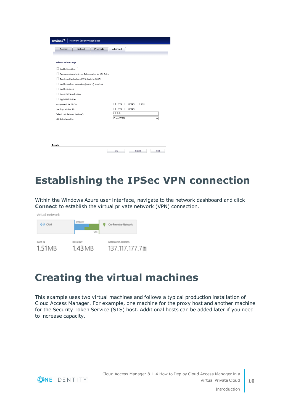| General                         | <b>Network</b>                                 | Proposals                                               | Advanced                                       |
|---------------------------------|------------------------------------------------|---------------------------------------------------------|------------------------------------------------|
|                                 |                                                |                                                         |                                                |
| <b>Advanced Settings</b>        |                                                |                                                         |                                                |
| Enable Keep Alive               |                                                |                                                         |                                                |
|                                 |                                                | Suppress automatic Access Rules creation for VPN Policy |                                                |
|                                 | Require authentication of VPN clients by XAUTH |                                                         |                                                |
|                                 |                                                |                                                         |                                                |
| <b>Enable Multicast</b>         | Enable Windows Networking (NetBIOS) Broadcast  |                                                         |                                                |
| Permit TCP Acceleration         |                                                |                                                         |                                                |
|                                 |                                                |                                                         |                                                |
| Apply NAT Policies              |                                                |                                                         |                                                |
| Management via this SA:         |                                                |                                                         | <b>HTTPS</b><br><b>HTTP</b><br>$\Box$ SSH<br>H |
| User login via this SA:         |                                                |                                                         | ] нттр<br><b>HTTPS</b><br>- 1<br>0.0.0.0       |
| Default LAN Gateway (optional): |                                                |                                                         |                                                |
| VPN Policy bound to:            |                                                |                                                         | Zone WAN                                       |
|                                 |                                                |                                                         |                                                |
|                                 |                                                |                                                         |                                                |
|                                 |                                                |                                                         |                                                |

### <span id="page-9-0"></span>**Establishing the IPSec VPN connection**

**OK** Cancel Help

Within the Windows Azure user interface, navigate to the network dashboard and click **Connect** to establish the virtual private network (VPN) connection.



# <span id="page-9-1"></span>**Creating the virtual machines**

This example uses two virtual machines and follows a typical production installation of Cloud Access Manager. For example, one machine for the proxy host and another machine for the Security Token Service (STS) host. Additional hosts can be added later if you need to increase capacity.

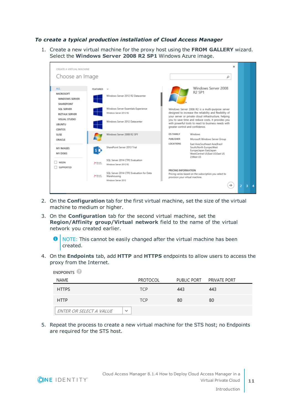#### *To create a typical production installation of Cloud Access Manager*

1. Create a new virtual machine for the proxy host using the **FROM GALLERY** wizard. Select the **Windows Server 2008 R2 SP1** Windows Azure image.



- 2. On the **Configuration** tab for the first virtual machine, set the size of the virtual machine to medium or higher.
- 3. On the **Configuration** tab for the second virtual machine, set the **Region/Affinity group/Virtual network** field to the name of the virtual network you created earlier.

6 NOTE: This cannot be easily changed after the virtual machine has been created.

4. On the **Endpoints** tab, add **HTTP** and **HTTPS** endpoints to allow users to access the proxy from the Internet.

| <b>ENDPOINTS</b>                        |            |     |                          |
|-----------------------------------------|------------|-----|--------------------------|
| NAME                                    | PROTOCOL   |     | PUBLIC PORT PRIVATE PORT |
| <b>HTTPS</b>                            | <b>TCP</b> | 443 | 443                      |
| <b>HTTP</b>                             | <b>TCP</b> | 80  | 80                       |
| ENTER OR SELECT A VALUE<br>$\checkmark$ |            |     |                          |

5. Repeat the process to create a new virtual machine for the STS host; no Endpoints are required for the STS host.

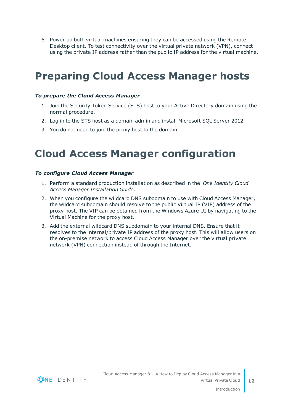6. Power up both virtual machines ensuring they can be accessed using the Remote Desktop client. To test connectivity over the virtual private network (VPN), connect using the private IP address rather than the public IP address for the virtual machine.

# <span id="page-11-0"></span>**Preparing Cloud Access Manager hosts**

#### *To prepare the Cloud Access Manager*

- 1. Join the Security Token Service (STS) host to your Active Directory domain using the normal procedure.
- 2. Log in to the STS host as a domain admin and install Microsoft SQL Server 2012.
- <span id="page-11-1"></span>3. You do not need to join the proxy host to the domain.

### **Cloud Access Manager configuration**

#### *To configure Cloud Access Manager*

- 1. Perform a standard production installation as described in the *One Identity Cloud Access Manager Installation Guide*.
- 2. When you configure the wildcard DNS subdomain to use with Cloud Access Manager, the wildcard subdomain should resolve to the public Virtual IP (VIP) address of the proxy host. The VIP can be obtained from the Windows Azure UI by navigating to the Virtual Machine for the proxy host.
- 3. Add the external wildcard DNS subdomain to your internal DNS. Ensure that it resolves to the internal/private IP address of the proxy host. This will allow users on the on-premise network to access Cloud Access Manager over the virtual private network (VPN) connection instead of through the Internet.